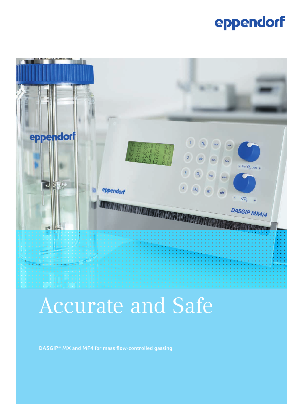## eppendorf



# Accurate and Safe

DASGIP® MX and MF4 for mass flow-controlled gassing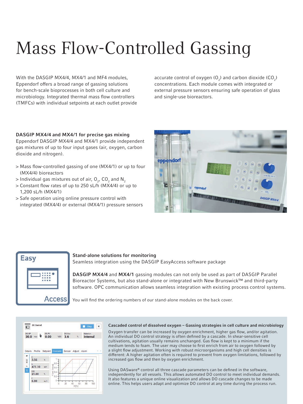# Mass Flow-Controlled Gassing

With the DASGIP MX4/4, MX4/1 and MF4 modules, Eppendorf offers a broad range of gassing solutions for bench-scale bioprocesses in both cell culture and microbiology. Integrated thermal mass flow controllers (TMFCs) with individual setpoints at each outlet provide accurate control of oxygen  $(O_2)$  and carbon dioxide  $(CO_2)$ concentrations. Each module comes with integrated or external pressure sensors ensuring safe operation of glass and single-use bioreactors.

### DASGIP MX4/4 and MX4/1 for precise gas mixing

Eppendorf DASGIP MX4/4 and MX4/1 provide independent gas mixtures of up to four input gases (air, oxygen, carbon dioxide and nitrogen).

- > Mass flow-controlled gassing of one (MX4/1) or up to four (MX4/4) bioreactors
- $>$  Individual gas mixtures out of air,  ${\sf O}_{\sf 2}$ , CO $_{\sf 2}$  and  ${\sf N}_{\sf 2}$
- > Constant flow rates of up to 250 sL/h (MX4/4) or up to 1,200 sL/h (MX4/1)
- > Safe operation using online pressure control with integrated (MX4/4) or external (MX4/1) pressure sensors





#### Stand-alone solutions for monitoring

Seamless integration using the DASGIP EasyAccess software package

DASGIP MX4/4 and MX4/1 gassing modules can not only be used as part of DASGIP Parallel Bioreactor Systems, but also stand-alone or integrated with New Brunswick™ and third-party software. OPC communication allows seamless integration with existing process control systems.

You will find the ordering numbers of our stand-alone modules on the back cover.



#### Cascaded control of dissolved oxygen – Gassing strategies in cell culture and microbiology

Oxygen transfer can be increased by oxygen enrichment, higher gas flow, and/or agitation. An individual DO control strategy is often defined by a cascade. In shear-sensitive cell cultivations, agitation usually remains unchanged. Gas flow is kept to a minimum if the medium tends to foam. The user may choose to first enrich from air to oxygen followed by a slight flow adjustment. Working with robust microorganisms and high cell densities is different: A higher agitation often is required to prevent from oxygen limitations, followed by increased gas flow and then by oxygen enrichment.

Using DASware® control all three cascade parameters can be defined in the software, independently for all vessels. This allows automated DO control to meet individual demands. It also features a unique online visualization and allows DO cascade changes to be made online. This helps users adapt and optimize DO control at any time during the process run.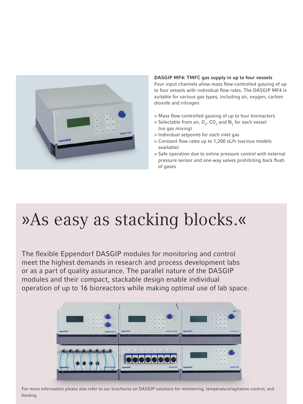

### DASGIP MF4: TMFC gas supply in up to four vessels

Four input channels allow mass flow-controlled gassing of up to four vessels with individual flow rates. The DASGIP MF4 is suitable for various gas types, including air, oxygen, carbon dioxide and nitrogen.

- > Mass flow-controlled gassing of up to four bioreactors
- $>$  Selectable from air,  $O_{2'}$  C $O_{2}$  and  $N_{2}$  for each vessel (no gas mixing)
- > Individual setpoints for each inlet gas
- > Constant flow rates up to 1,200 sL/h (various models available)
- > Safe operation due to online pressure control with external pressure sensor and one-way valves prohibiting back flush of gases

# »As easy as stacking blocks.«

The flexible Eppendorf DASGIP modules for monitoring and control meet the highest demands in research and process development labs or as a part of quality assurance. The parallel nature of the DASGIP modules and their compact, stackable design enable individual operation of up to 16 bioreactors while making optimal use of lab space.

![](_page_2_Picture_10.jpeg)

For more information please also refer to our brochures on DASGIP solutions for monitoring, temperature/agitation control, and feeding.